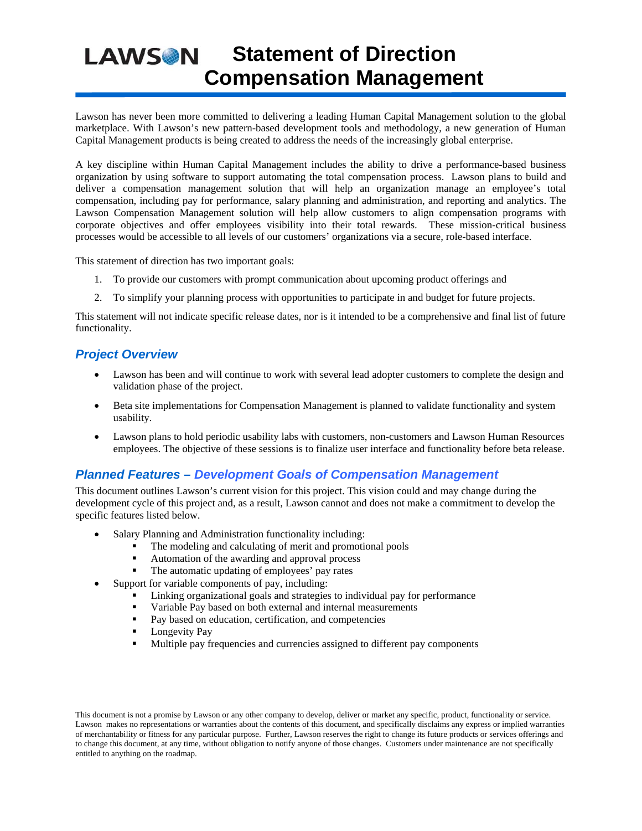# **Statement of Direction LAWSON Compensation Management**

Lawson has never been more committed to delivering a leading Human Capital Management solution to the global marketplace. With Lawson's new pattern-based development tools and methodology, a new generation of Human Capital Management products is being created to address the needs of the increasingly global enterprise.

A key discipline within Human Capital Management includes the ability to drive a performance-based business organization by using software to support automating the total compensation process. Lawson plans to build and deliver a compensation management solution that will help an organization manage an employee's total compensation, including pay for performance, salary planning and administration, and reporting and analytics. The Lawson Compensation Management solution will help allow customers to align compensation programs with corporate objectives and offer employees visibility into their total rewards. These mission-critical business processes would be accessible to all levels of our customers' organizations via a secure, role-based interface.

This statement of direction has two important goals:

- 1. To provide our customers with prompt communication about upcoming product offerings and
- 2. To simplify your planning process with opportunities to participate in and budget for future projects.

This statement will not indicate specific release dates, nor is it intended to be a comprehensive and final list of future functionality.

### *Project Overview*

- Lawson has been and will continue to work with several lead adopter customers to complete the design and validation phase of the project.
- Beta site implementations for Compensation Management is planned to validate functionality and system usability.
- Lawson plans to hold periodic usability labs with customers, non-customers and Lawson Human Resources employees. The objective of these sessions is to finalize user interface and functionality before beta release.

### *Planned Features – Development Goals of Compensation Management*

This document outlines Lawson's current vision for this project. This vision could and may change during the development cycle of this project and, as a result, Lawson cannot and does not make a commitment to develop the specific features listed below.

- Salary Planning and Administration functionality including:
	- The modeling and calculating of merit and promotional pools
	- Automation of the awarding and approval process
	- The automatic updating of employees' pay rates
	- Support for variable components of pay, including:
		- **Linking organizational goals and strategies to individual pay for performance**
		- Variable Pay based on both external and internal measurements<br>Pay based on education, certification, and competencies
		- Pay based on education, certification, and competencies
		- **Longevity Pay**
		- Multiple pay frequencies and currencies assigned to different pay components

This document is not a promise by Lawson or any other company to develop, deliver or market any specific, product, functionality or service. Lawson makes no representations or warranties about the contents of this document, and specifically disclaims any express or implied warranties of merchantability or fitness for any particular purpose. Further, Lawson reserves the right to change its future products or services offerings and to change this document, at any time, without obligation to notify anyone of those changes. Customers under maintenance are not specifically entitled to anything on the roadmap.